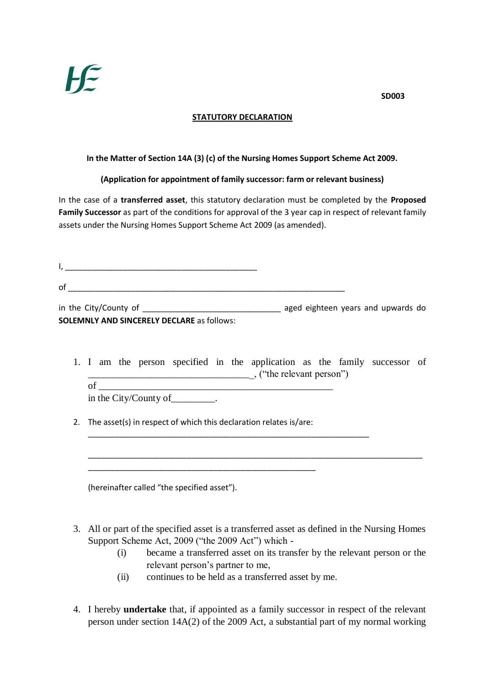

## **STATUTORY DECLARATION**

## **In the Matter of Section 14A (3) (c) of the Nursing Homes Support Scheme Act 2009.**

## **(Application for appointment of family successor: farm or relevant business)**

In the case of a **transferred asset**, this statutory declaration must be completed by the **Proposed Family Successor** as part of the conditions for approval of the 3 year cap in respect of relevant family assets under the Nursing Homes Support Scheme Act 2009 (as amended).

 $I,$  $\circ$  of in the City/County of \_\_\_\_\_\_\_\_\_\_\_\_\_\_\_\_\_\_\_\_\_\_\_\_\_\_\_\_\_\_\_ aged eighteen years and upwards do **SOLEMNLY AND SINCERELY DECLARE** as follows:

1. I am the person specified in the application as the family successor of \_\_\_\_\_\_\_\_\_\_\_\_\_\_\_\_\_\_\_\_\_\_\_\_\_\_\_\_\_\_\_\_\_\_, ("the relevant person")  $\circ$  f

in the City/County of \_\_\_\_\_\_\_\_\_\_.

2. The asset(s) in respect of which this declaration relates is/are:

\_\_\_\_\_\_\_\_\_\_\_\_\_\_\_\_\_\_\_\_\_\_\_\_\_\_\_\_\_\_\_\_\_\_\_\_\_\_\_\_\_\_\_\_\_\_\_\_\_\_\_

(hereinafter called "the specified asset").

3. All or part of the specified asset is a transferred asset as defined in the Nursing Homes Support Scheme Act, 2009 ("the 2009 Act") which -

\_\_\_\_\_\_\_\_\_\_\_\_\_\_\_\_\_\_\_\_\_\_\_\_\_\_\_\_\_\_\_\_\_\_\_\_\_\_\_\_\_\_\_\_\_\_\_\_\_\_\_\_\_\_\_\_\_\_\_\_\_\_\_\_\_\_\_\_\_\_\_\_\_\_\_

- (i) became a transferred asset on its transfer by the relevant person or the relevant person's partner to me,
- (ii) continues to be held as a transferred asset by me.

\_\_\_\_\_\_\_\_\_\_\_\_\_\_\_\_\_\_\_\_\_\_\_\_\_\_\_\_\_\_\_\_\_\_\_\_\_\_\_\_\_\_\_\_\_\_\_\_\_\_\_\_\_\_\_\_\_\_\_\_\_\_\_

4. I hereby **undertake** that, if appointed as a family successor in respect of the relevant person under section 14A(2) of the 2009 Act, a substantial part of my normal working

**SD003**